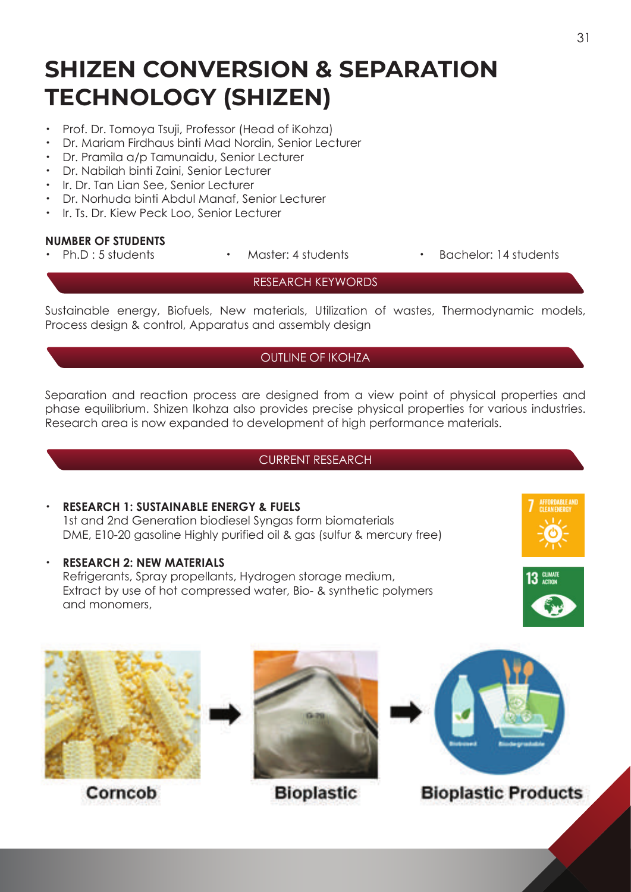# **SHIZEN CONVERSION & SEPARATION TECHNOLOGY (SHIZEN)**

- ・ Prof. Dr. Tomoya Tsuji, Professor (Head of iKohza)
- ・ Dr. Mariam Firdhaus binti Mad Nordin, Senior Lecturer
- ・ Dr. Pramila a/p Tamunaidu, Senior Lecturer
- ・ Dr. Nabilah binti Zaini, Senior Lecturer
- ・ Ir. Dr. Tan Lian See, Senior Lecturer
- ・ Dr. Norhuda binti Abdul Manaf, Senior Lecturer
- ・ Ir. Ts. Dr. Kiew Peck Loo, Senior Lecturer

#### **NUMBER OF STUDENTS**

- 
- 
- Ph.D : 5 students Master: 4 students Bachelor: 14 students

#### RESEARCH KEYWORDS

Sustainable energy, Biofuels, New materials, Utilization of wastes, Thermodynamic models, Process design & control, Apparatus and assembly design

### OUTLINE OF IKOHZA

Separation and reaction process are designed from a view point of physical properties and phase equilibrium. Shizen Ikohza also provides precise physical properties for various industries. Research area is now expanded to development of high performance materials.

#### CURRENT RESEARCH

### ・ **RESEARCH 1: SUSTAINABLE ENERGY & FUELS**

 1st and 2nd Generation biodiesel Syngas form biomaterials DME, E10-20 gasoline Highly purified oil & gas (sulfur & mercury free)

#### **RESEARCH 2: NEW MATERIALS**

Refrigerants, Spray propellants, Hydrogen storage medium, Extract by use of hot compressed water, Bio- & synthetic polymers and monomers,





Corncob



**Bioplastic** 



## **Bioplastic Products**